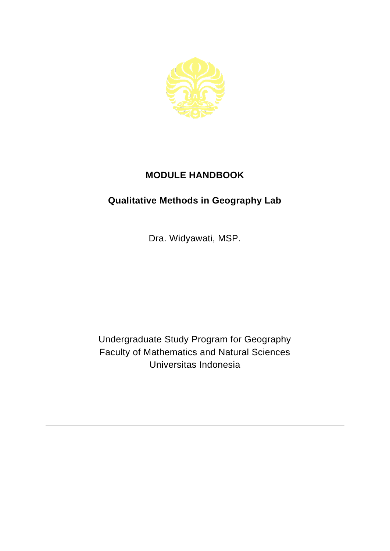

## **MODULE HANDBOOK**

## **Qualitative Methods in Geography Lab**

Dra. Widyawati, MSP.

Undergraduate Study Program for Geography Faculty of Mathematics and Natural Sciences Universitas Indonesia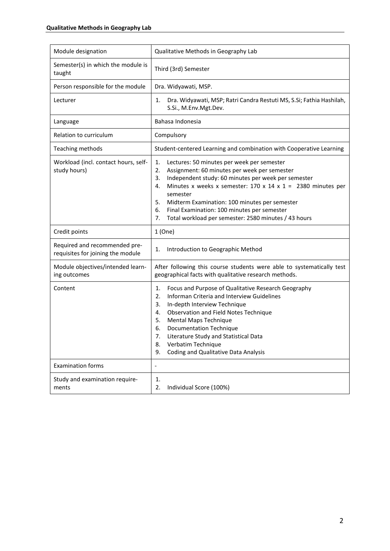| Module designation                                                 | Qualitative Methods in Geography Lab                                                                                                                                                                                                                                                                                                                                                                                                       |
|--------------------------------------------------------------------|--------------------------------------------------------------------------------------------------------------------------------------------------------------------------------------------------------------------------------------------------------------------------------------------------------------------------------------------------------------------------------------------------------------------------------------------|
| Semester(s) in which the module is<br>taught                       | Third (3rd) Semester                                                                                                                                                                                                                                                                                                                                                                                                                       |
| Person responsible for the module                                  | Dra. Widyawati, MSP.                                                                                                                                                                                                                                                                                                                                                                                                                       |
| Lecturer                                                           | Dra. Widyawati, MSP; Ratri Candra Restuti MS, S.Si; Fathia Hashilah,<br>1.<br>S.Si., M.Env.Mgt.Dev.                                                                                                                                                                                                                                                                                                                                        |
| Language                                                           | Bahasa Indonesia                                                                                                                                                                                                                                                                                                                                                                                                                           |
| Relation to curriculum                                             | Compulsory                                                                                                                                                                                                                                                                                                                                                                                                                                 |
| Teaching methods                                                   | Student-centered Learning and combination with Cooperative Learning                                                                                                                                                                                                                                                                                                                                                                        |
| Workload (incl. contact hours, self-<br>study hours)               | 1.<br>Lectures: 50 minutes per week per semester<br>Assignment: 60 minutes per week per semester<br>2.<br>Independent study: 60 minutes per week per semester<br>3.<br>Minutes x weeks x semester: $170 \times 14 \times 1 = 2380$ minutes per<br>4.<br>semester<br>5.<br>Midterm Examination: 100 minutes per semester<br>6.<br>Final Examination: 100 minutes per semester<br>Total workload per semester: 2580 minutes / 43 hours<br>7. |
| Credit points                                                      | 1(One)                                                                                                                                                                                                                                                                                                                                                                                                                                     |
| Required and recommended pre-<br>requisites for joining the module | Introduction to Geographic Method<br>1.                                                                                                                                                                                                                                                                                                                                                                                                    |
| Module objectives/intended learn-<br>ing outcomes                  | After following this course students were able to systematically test<br>geographical facts with qualitative research methods.                                                                                                                                                                                                                                                                                                             |
| Content                                                            | Focus and Purpose of Qualitative Research Geography<br>1.<br>2.<br>Informan Criteria and Interview Guidelines<br>3.<br>In-depth Interview Technique<br>Observation and Field Notes Technique<br>4.<br>5.<br>Mental Maps Technique<br><b>Documentation Technique</b><br>6.<br>Literature Study and Statistical Data<br>7.<br>Verbatim Technique<br>8.<br><b>Coding and Qualitative Data Analysis</b><br>9.                                  |
| <b>Examination forms</b>                                           | $\overline{\phantom{a}}$                                                                                                                                                                                                                                                                                                                                                                                                                   |
| Study and examination require-<br>ments                            | 1.<br>2.<br>Individual Score (100%)                                                                                                                                                                                                                                                                                                                                                                                                        |